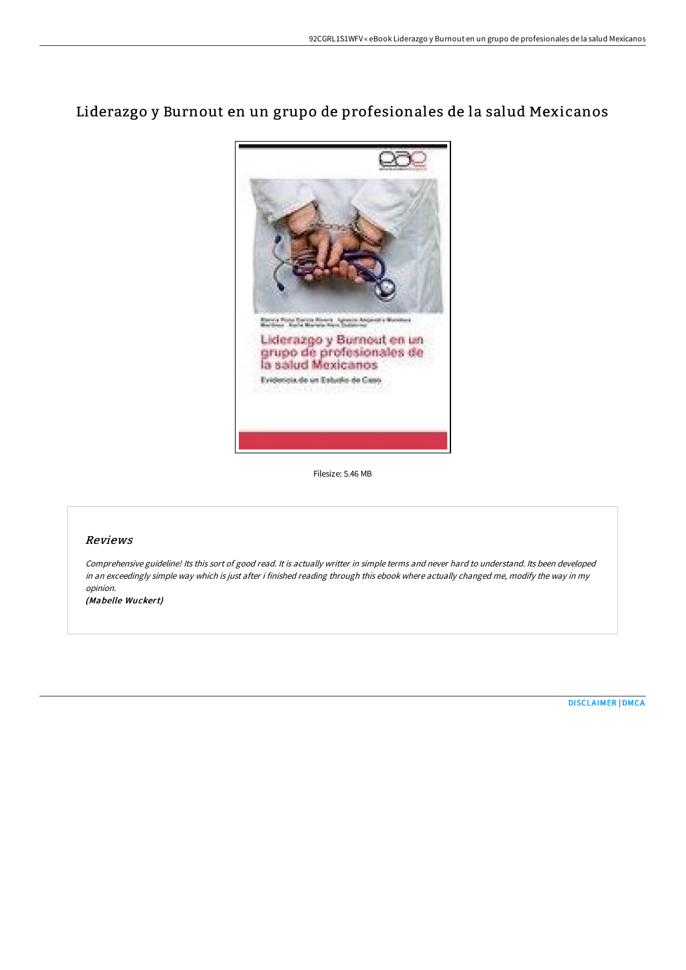# Liderazgo y Burnout en un grupo de profesionales de la salud Mexicanos



Filesize: 5.46 MB

## Reviews

Comprehensive guideline! Its this sort of good read. It is actually writter in simple terms and never hard to understand. Its been developed in an exceedingly simple way which is just after i finished reading through this ebook where actually changed me, modify the way in my opinion.

(Mabelle Wuckert)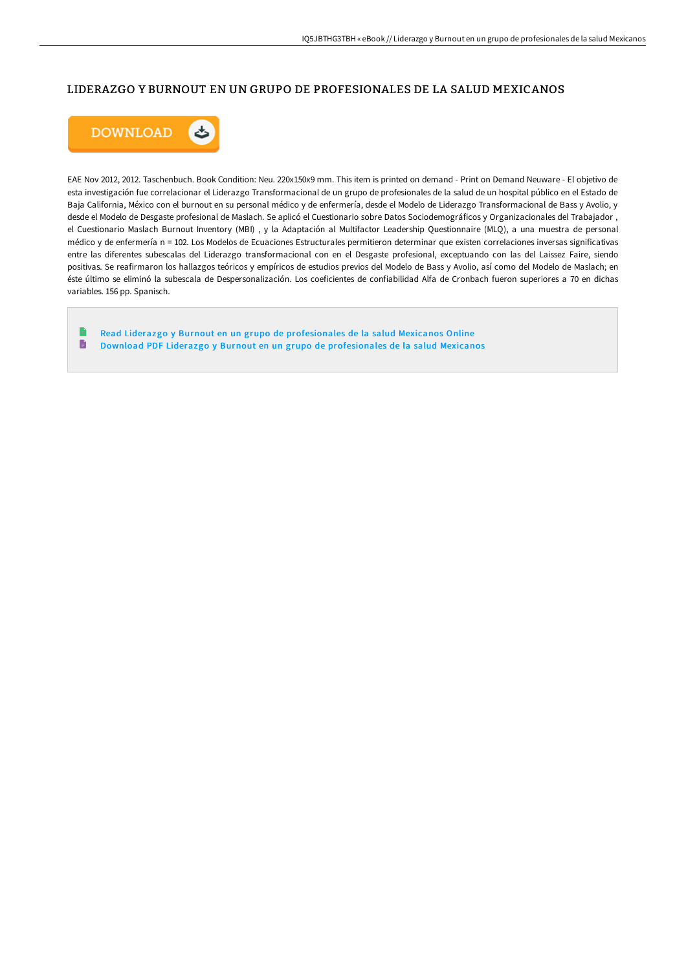# LIDERAZGO Y BURNOUT EN UN GRUPO DE PROFESIONALES DE LA SALUD MEXICANOS



EAE Nov 2012, 2012. Taschenbuch. Book Condition: Neu. 220x150x9 mm. This item is printed on demand - Print on Demand Neuware - El objetivo de esta investigación fue correlacionar el Liderazgo Transformacional de un grupo de profesionales de la salud de un hospital público en el Estado de Baja California, México con el burnout en su personal médico y de enfermería, desde el Modelo de Liderazgo Transformacional de Bass y Avolio, y desde el Modelo de Desgaste profesional de Maslach. Se aplicó el Cuestionario sobre Datos Sociodemográficos y Organizacionales del Trabajador , el Cuestionario Maslach Burnout Inventory (MBI) , y la Adaptación al Multifactor Leadership Questionnaire (MLQ), a una muestra de personal médico y de enfermería n = 102. Los Modelos de Ecuaciones Estructurales permitieron determinar que existen correlaciones inversas significativas entre las diferentes subescalas del Liderazgo transformacional con en el Desgaste profesional, exceptuando con las del Laissez Faire, siendo positivas. Se reafirmaron los hallazgos teóricos y empíricos de estudios previos del Modelo de Bass y Avolio, así como del Modelo de Maslach; en éste último se eliminó la subescala de Despersonalización. Los coeficientes de confiabilidad Alfa de Cronbach fueron superiores a 70 en dichas variables. 156 pp. Spanisch.

 $\blacksquare$ Read Liderazgo y Burnout en un grupo de [profesionales](http://techno-pub.tech/liderazgo-y-burnout-en-un-grupo-de-profesionales.html) de la salud Mexicanos Online  $\blacksquare$ Download PDF Liderazgo y Burnout en un grupo de [profesionales](http://techno-pub.tech/liderazgo-y-burnout-en-un-grupo-de-profesionales.html) de la salud Mexicanos